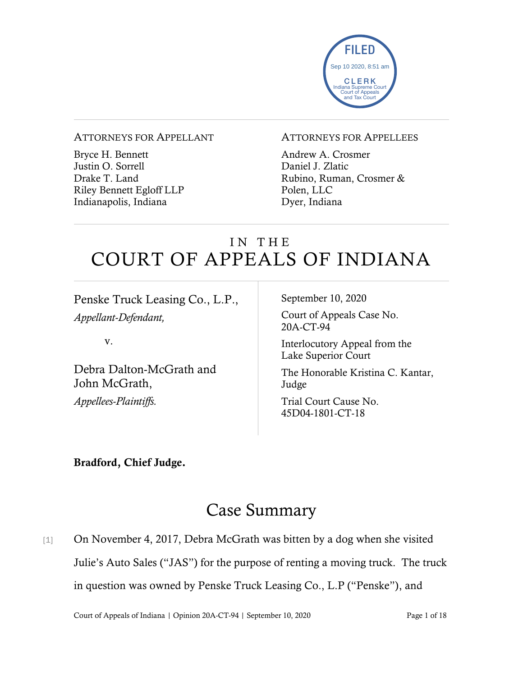

#### ATTORNEYS FOR APPELLANT

Bryce H. Bennett Justin O. Sorrell Drake T. Land Riley Bennett Egloff LLP Indianapolis, Indiana

#### ATTORNEYS FOR APPELLEES

Andrew A. Crosmer Daniel J. Zlatic Rubino, Ruman, Crosmer & Polen, LLC Dyer, Indiana

# IN THE COURT OF APPEALS OF INDIANA

Penske Truck Leasing Co., L.P., *Appellant-Defendant,*

v.

Debra Dalton-McGrath and John McGrath, *Appellees-Plaintiffs.*

September 10, 2020

Court of Appeals Case No. 20A-CT-94

Interlocutory Appeal from the Lake Superior Court

The Honorable Kristina C. Kantar, Judge

Trial Court Cause No. 45D04-1801-CT-18

#### Bradford, Chief Judge.

## Case Summary

[1] On November 4, 2017, Debra McGrath was bitten by a dog when she visited Julie's Auto Sales ("JAS") for the purpose of renting a moving truck. The truck in question was owned by Penske Truck Leasing Co., L.P ("Penske"), and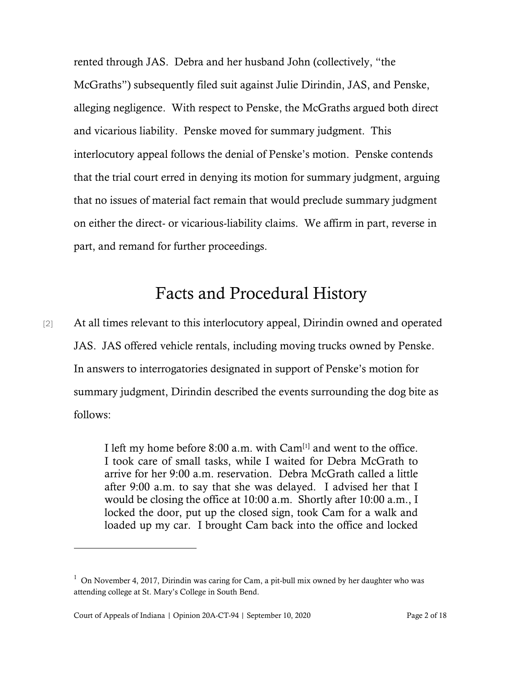rented through JAS. Debra and her husband John (collectively, "the McGraths") subsequently filed suit against Julie Dirindin, JAS, and Penske, alleging negligence. With respect to Penske, the McGraths argued both direct and vicarious liability. Penske moved for summary judgment. This interlocutory appeal follows the denial of Penske's motion. Penske contends that the trial court erred in denying its motion for summary judgment, arguing that no issues of material fact remain that would preclude summary judgment on either the direct- or vicarious-liability claims. We affirm in part, reverse in part, and remand for further proceedings.

## Facts and Procedural History

[2] At all times relevant to this interlocutory appeal, Dirindin owned and operated JAS. JAS offered vehicle rentals, including moving trucks owned by Penske. In answers to interrogatories designated in support of Penske's motion for summary judgment, Dirindin described the events surrounding the dog bite as follows:

> I left my home before  $8:00$  a.m. with  $Cam<sup>[1]</sup>$  and went to the office. I took care of small tasks, while I waited for Debra McGrath to arrive for her 9:00 a.m. reservation. Debra McGrath called a little after 9:00 a.m. to say that she was delayed. I advised her that I would be closing the office at 10:00 a.m. Shortly after 10:00 a.m., I locked the door, put up the closed sign, took Cam for a walk and loaded up my car. I brought Cam back into the office and locked

 $1$  On November 4, 2017, Dirindin was caring for Cam, a pit-bull mix owned by her daughter who was attending college at St. Mary's College in South Bend.

Court of Appeals of Indiana | Opinion 20A-CT-94 | September 10, 2020 Page 2 of 18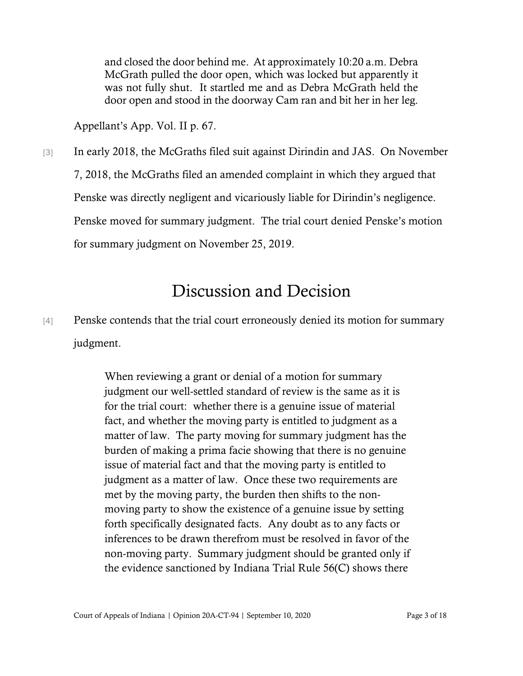and closed the door behind me. At approximately 10:20 a.m. Debra McGrath pulled the door open, which was locked but apparently it was not fully shut. It startled me and as Debra McGrath held the door open and stood in the doorway Cam ran and bit her in her leg.

Appellant's App. Vol. II p. 67.

[3] In early 2018, the McGraths filed suit against Dirindin and JAS. On November 7, 2018, the McGraths filed an amended complaint in which they argued that Penske was directly negligent and vicariously liable for Dirindin's negligence. Penske moved for summary judgment. The trial court denied Penske's motion for summary judgment on November 25, 2019.

# Discussion and Decision

[4] Penske contends that the trial court erroneously denied its motion for summary judgment.

> When reviewing a grant or denial of a motion for summary judgment our well-settled standard of review is the same as it is for the trial court: whether there is a genuine issue of material fact, and whether the moving party is entitled to judgment as a matter of law. The party moving for summary judgment has the burden of making a prima facie showing that there is no genuine issue of material fact and that the moving party is entitled to judgment as a matter of law. Once these two requirements are met by the moving party, the burden then shifts to the nonmoving party to show the existence of a genuine issue by setting forth specifically designated facts. Any doubt as to any facts or inferences to be drawn therefrom must be resolved in favor of the non-moving party. Summary judgment should be granted only if the evidence sanctioned by Indiana Trial Rule 56(C) shows there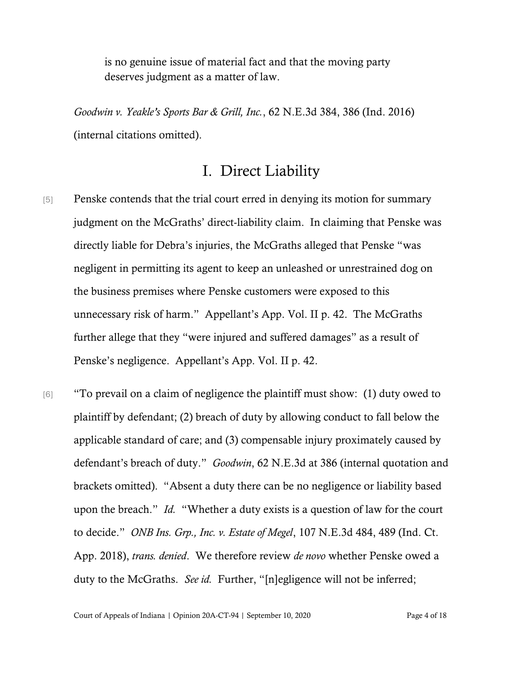is no genuine issue of material fact and that the moving party deserves judgment as a matter of law.

*Goodwin v. Yeakle's Sports Bar & Grill, Inc.*, 62 N.E.3d 384, 386 (Ind. 2016) (internal citations omitted).

### I. Direct Liability

- [5] Penske contends that the trial court erred in denying its motion for summary judgment on the McGraths' direct-liability claim. In claiming that Penske was directly liable for Debra's injuries, the McGraths alleged that Penske "was negligent in permitting its agent to keep an unleashed or unrestrained dog on the business premises where Penske customers were exposed to this unnecessary risk of harm." Appellant's App. Vol. II p. 42. The McGraths further allege that they "were injured and suffered damages" as a result of Penske's negligence. Appellant's App. Vol. II p. 42.
- [6] "To prevail on a claim of negligence the plaintiff must show: (1) duty owed to plaintiff by defendant; (2) breach of duty by allowing conduct to fall below the applicable standard of care; and (3) compensable injury proximately caused by defendant's breach of duty." *Goodwin*, 62 N.E.3d at 386 (internal quotation and brackets omitted). "Absent a duty there can be no negligence or liability based upon the breach." *Id.* "Whether a duty exists is a question of law for the court to decide." *ONB Ins. Grp., Inc. v. Estate of Megel*, 107 N.E.3d 484, 489 (Ind. Ct. App. 2018), *trans. denied*. We therefore review *de novo* whether Penske owed a duty to the McGraths. *See id.* Further, "[n]egligence will not be inferred;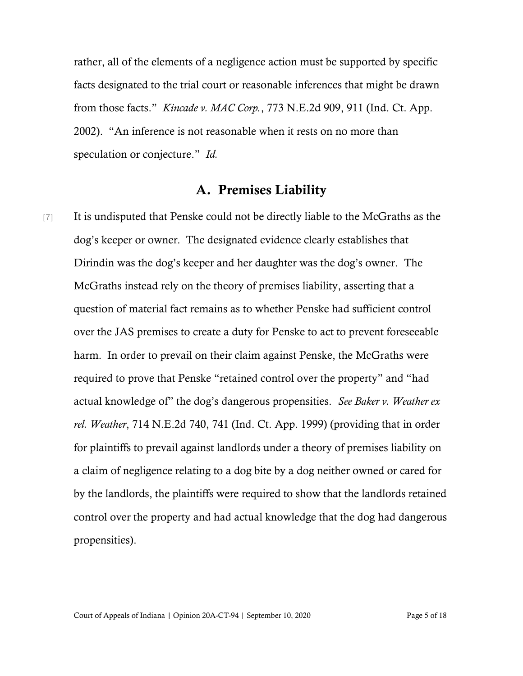rather, all of the elements of a negligence action must be supported by specific facts designated to the trial court or reasonable inferences that might be drawn from those facts." *Kincade v. MAC Corp.*, 773 N.E.2d 909, 911 (Ind. Ct. App. 2002). "An inference is not reasonable when it rests on no more than speculation or conjecture." *Id.*

#### A. Premises Liability

[7] It is undisputed that Penske could not be directly liable to the McGraths as the dog's keeper or owner. The designated evidence clearly establishes that Dirindin was the dog's keeper and her daughter was the dog's owner. The McGraths instead rely on the theory of premises liability, asserting that a question of material fact remains as to whether Penske had sufficient control over the JAS premises to create a duty for Penske to act to prevent foreseeable harm. In order to prevail on their claim against Penske, the McGraths were required to prove that Penske "retained control over the property" and "had actual knowledge of" the dog's dangerous propensities. *See Baker v. Weather ex rel. Weather*, 714 N.E.2d 740, 741 (Ind. Ct. App. 1999) (providing that in order for plaintiffs to prevail against landlords under a theory of premises liability on a claim of negligence relating to a dog bite by a dog neither owned or cared for by the landlords, the plaintiffs were required to show that the landlords retained control over the property and had actual knowledge that the dog had dangerous propensities).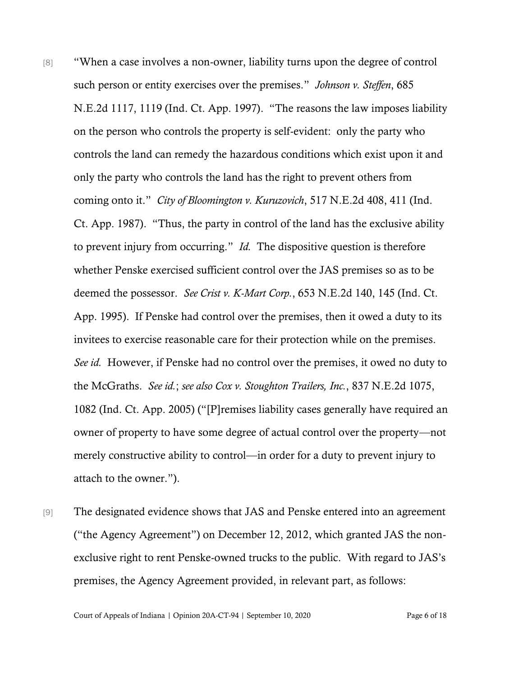- [8] "When a case involves a non-owner, liability turns upon the degree of control such person or entity exercises over the premises." *Johnson v. Steffen*, 685 N.E.2d 1117, 1119 (Ind. Ct. App. 1997). "The reasons the law imposes liability on the person who controls the property is self-evident: only the party who controls the land can remedy the hazardous conditions which exist upon it and only the party who controls the land has the right to prevent others from coming onto it." *City of Bloomington v. Kuruzovich*, 517 N.E.2d 408, 411 (Ind. Ct. App. 1987). "Thus, the party in control of the land has the exclusive ability to prevent injury from occurring." *Id.* The dispositive question is therefore whether Penske exercised sufficient control over the JAS premises so as to be deemed the possessor. *See Crist v. K-Mart Corp.*, 653 N.E.2d 140, 145 (Ind. Ct. App. 1995). If Penske had control over the premises, then it owed a duty to its invitees to exercise reasonable care for their protection while on the premises. *See id.* However, if Penske had no control over the premises, it owed no duty to the McGraths. *See id.*; *see also Cox v. Stoughton Trailers, Inc.*, 837 N.E.2d 1075, 1082 (Ind. Ct. App. 2005) ("[P]remises liability cases generally have required an owner of property to have some degree of actual control over the property—not merely constructive ability to control—in order for a duty to prevent injury to attach to the owner.").
- [9] The designated evidence shows that JAS and Penske entered into an agreement ("the Agency Agreement") on December 12, 2012, which granted JAS the nonexclusive right to rent Penske-owned trucks to the public. With regard to JAS's premises, the Agency Agreement provided, in relevant part, as follows:

Court of Appeals of Indiana | Opinion 20A-CT-94 | September 10, 2020 Page 6 of 18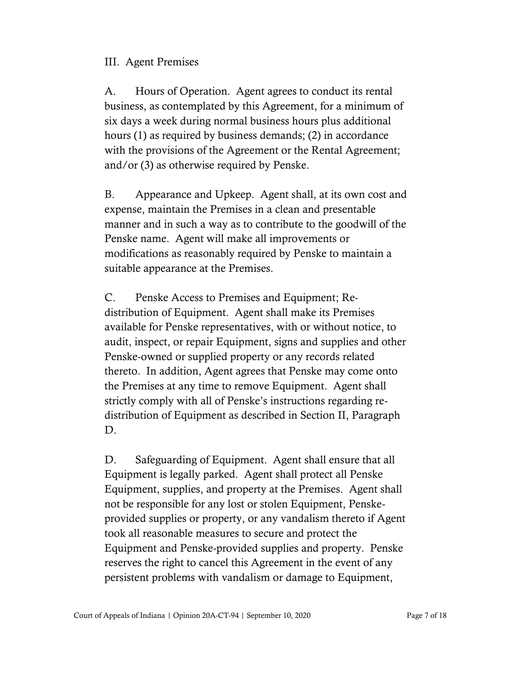#### III. Agent Premises

A. Hours of Operation. Agent agrees to conduct its rental business, as contemplated by this Agreement, for a minimum of six days a week during normal business hours plus additional hours (1) as required by business demands; (2) in accordance with the provisions of the Agreement or the Rental Agreement; and/or (3) as otherwise required by Penske.

B. Appearance and Upkeep. Agent shall, at its own cost and expense, maintain the Premises in a clean and presentable manner and in such a way as to contribute to the goodwill of the Penske name. Agent will make all improvements or modifications as reasonably required by Penske to maintain a suitable appearance at the Premises.

C. Penske Access to Premises and Equipment; Redistribution of Equipment. Agent shall make its Premises available for Penske representatives, with or without notice, to audit, inspect, or repair Equipment, signs and supplies and other Penske-owned or supplied property or any records related thereto. In addition, Agent agrees that Penske may come onto the Premises at any time to remove Equipment. Agent shall strictly comply with all of Penske's instructions regarding redistribution of Equipment as described in Section II, Paragraph D.

D. Safeguarding of Equipment. Agent shall ensure that all Equipment is legally parked. Agent shall protect all Penske Equipment, supplies, and property at the Premises. Agent shall not be responsible for any lost or stolen Equipment, Penskeprovided supplies or property, or any vandalism thereto if Agent took all reasonable measures to secure and protect the Equipment and Penske-provided supplies and property. Penske reserves the right to cancel this Agreement in the event of any persistent problems with vandalism or damage to Equipment,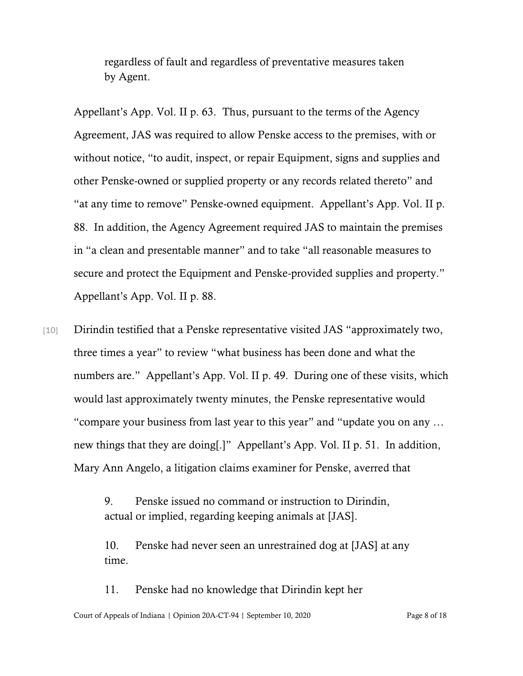regardless of fault and regardless of preventative measures taken by Agent.

Appellant's App. Vol. II p. 63. Thus, pursuant to the terms of the Agency Agreement, JAS was required to allow Penske access to the premises, with or without notice, "to audit, inspect, or repair Equipment, signs and supplies and other Penske-owned or supplied property or any records related thereto" and "at any time to remove" Penske-owned equipment. Appellant's App. Vol. II p. 88. In addition, the Agency Agreement required JAS to maintain the premises in "a clean and presentable manner" and to take "all reasonable measures to secure and protect the Equipment and Penske-provided supplies and property." Appellant's App. Vol. II p. 88.

[10] Dirindin testified that a Penske representative visited JAS "approximately two, three times a year" to review "what business has been done and what the numbers are." Appellant's App. Vol. II p. 49. During one of these visits, which would last approximately twenty minutes, the Penske representative would "compare your business from last year to this year" and "update you on any … new things that they are doing[.]" Appellant's App. Vol. II p. 51. In addition, Mary Ann Angelo, a litigation claims examiner for Penske, averred that

> 9. Penske issued no command or instruction to Dirindin, actual or implied, regarding keeping animals at [JAS].

10. Penske had never seen an unrestrained dog at [JAS] at any time.

Court of Appeals of Indiana | Opinion 20A-CT-94 | September 10, 2020 Page 8 of 18 11. Penske had no knowledge that Dirindin kept her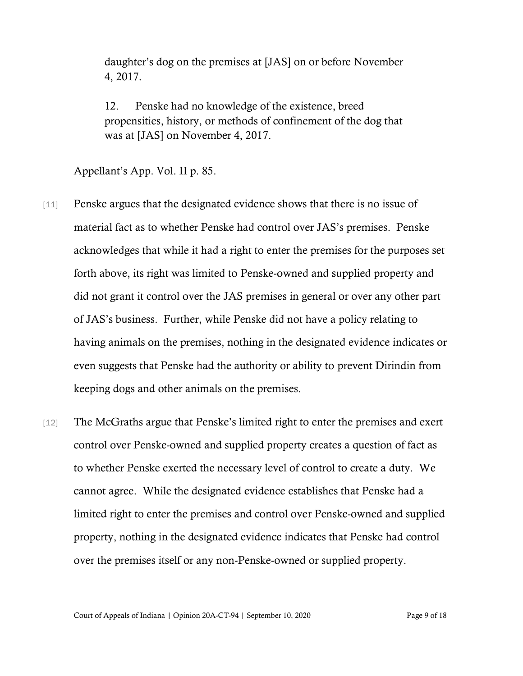daughter's dog on the premises at [JAS] on or before November 4, 2017.

12. Penske had no knowledge of the existence, breed propensities, history, or methods of confinement of the dog that was at [JAS] on November 4, 2017.

Appellant's App. Vol. II p. 85.

- [11] Penske argues that the designated evidence shows that there is no issue of material fact as to whether Penske had control over JAS's premises. Penske acknowledges that while it had a right to enter the premises for the purposes set forth above, its right was limited to Penske-owned and supplied property and did not grant it control over the JAS premises in general or over any other part of JAS's business. Further, while Penske did not have a policy relating to having animals on the premises, nothing in the designated evidence indicates or even suggests that Penske had the authority or ability to prevent Dirindin from keeping dogs and other animals on the premises.
- [12] The McGraths argue that Penske's limited right to enter the premises and exert control over Penske-owned and supplied property creates a question of fact as to whether Penske exerted the necessary level of control to create a duty. We cannot agree. While the designated evidence establishes that Penske had a limited right to enter the premises and control over Penske-owned and supplied property, nothing in the designated evidence indicates that Penske had control over the premises itself or any non-Penske-owned or supplied property.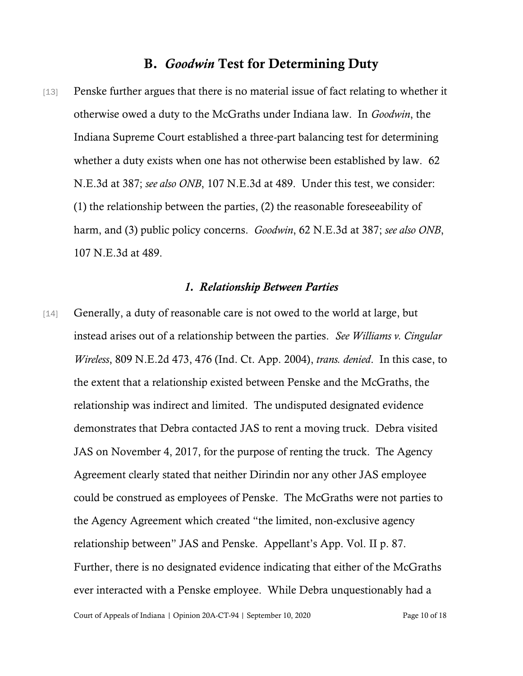#### B. *Goodwin* Test for Determining Duty

[13] Penske further argues that there is no material issue of fact relating to whether it otherwise owed a duty to the McGraths under Indiana law. In *Goodwin*, the Indiana Supreme Court established a three-part balancing test for determining whether a duty exists when one has not otherwise been established by law. 62 N.E.3d at 387; *see also ONB*, 107 N.E.3d at 489. Under this test, we consider: (1) the relationship between the parties, (2) the reasonable foreseeability of harm, and (3) public policy concerns. *Goodwin*, 62 N.E.3d at 387; *see also ONB*, 107 N.E.3d at 489.

#### *1. Relationship Between Parties*

[14] Generally, a duty of reasonable care is not owed to the world at large, but instead arises out of a relationship between the parties. *See Williams v. Cingular Wireless*, 809 N.E.2d 473, 476 (Ind. Ct. App. 2004), *trans. denied*. In this case, to the extent that a relationship existed between Penske and the McGraths, the relationship was indirect and limited. The undisputed designated evidence demonstrates that Debra contacted JAS to rent a moving truck. Debra visited JAS on November 4, 2017, for the purpose of renting the truck. The Agency Agreement clearly stated that neither Dirindin nor any other JAS employee could be construed as employees of Penske. The McGraths were not parties to the Agency Agreement which created "the limited, non-exclusive agency relationship between" JAS and Penske. Appellant's App. Vol. II p. 87. Further, there is no designated evidence indicating that either of the McGraths ever interacted with a Penske employee. While Debra unquestionably had a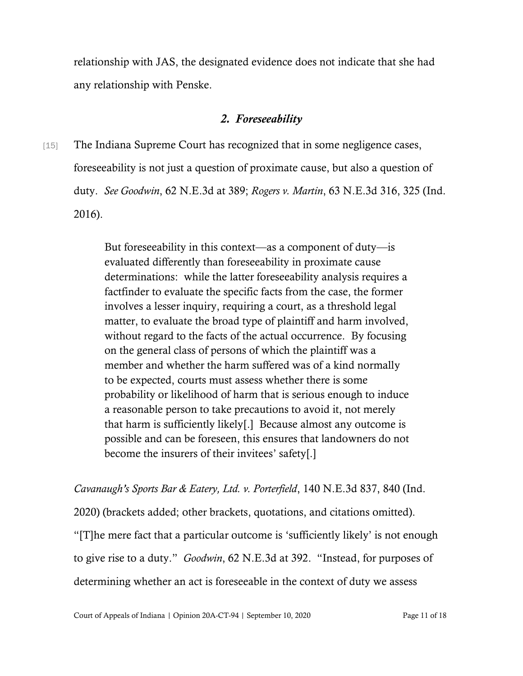relationship with JAS, the designated evidence does not indicate that she had any relationship with Penske.

#### *2. Foreseeability*

[15] The Indiana Supreme Court has recognized that in some negligence cases, foreseeability is not just a question of proximate cause, but also a question of duty. *See Goodwin*, 62 N.E.3d at 389; *Rogers v. Martin*, 63 N.E.3d 316, 325 (Ind. 2016).

> But foreseeability in this context—as a component of duty—is evaluated differently than foreseeability in proximate cause determinations: while the latter foreseeability analysis requires a factfinder to evaluate the specific facts from the case, the former involves a lesser inquiry, requiring a court, as a threshold legal matter, to evaluate the broad type of plaintiff and harm involved, without regard to the facts of the actual occurrence. By focusing on the general class of persons of which the plaintiff was a member and whether the harm suffered was of a kind normally to be expected, courts must assess whether there is some probability or likelihood of harm that is serious enough to induce a reasonable person to take precautions to avoid it, not merely that harm is sufficiently likely[.] Because almost any outcome is possible and can be foreseen, this ensures that landowners do not become the insurers of their invitees' safety[.]

*Cavanaugh's Sports Bar & Eatery, Ltd. v. Porterfield*, 140 N.E.3d 837, 840 (Ind.

2020) (brackets added; other brackets, quotations, and citations omitted).

"[T]he mere fact that a particular outcome is 'sufficiently likely' is not enough to give rise to a duty." *Goodwin*, 62 N.E.3d at 392. "Instead, for purposes of determining whether an act is foreseeable in the context of duty we assess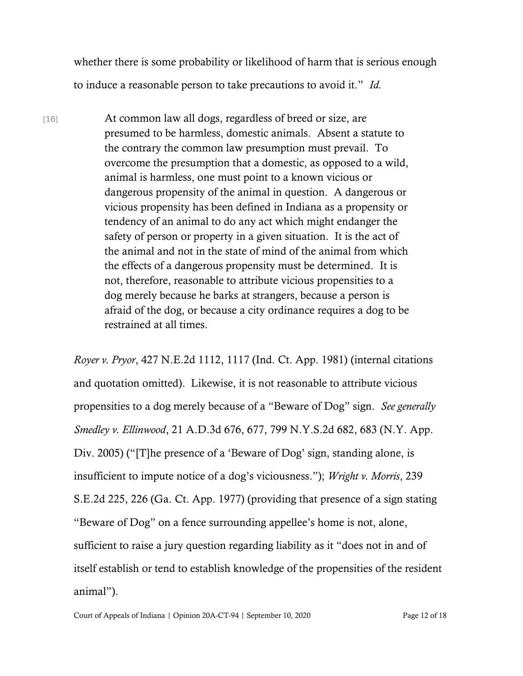whether there is some probability or likelihood of harm that is serious enough to induce a reasonable person to take precautions to avoid it." *Id.*

[16] At common law all dogs, regardless of breed or size, are presumed to be harmless, domestic animals. Absent a statute to the contrary the common law presumption must prevail. To overcome the presumption that a domestic, as opposed to a wild, animal is harmless, one must point to a known vicious or dangerous propensity of the animal in question. A dangerous or vicious propensity has been defined in Indiana as a propensity or tendency of an animal to do any act which might endanger the safety of person or property in a given situation. It is the act of the animal and not in the state of mind of the animal from which the effects of a dangerous propensity must be determined. It is not, therefore, reasonable to attribute vicious propensities to a dog merely because he barks at strangers, because a person is afraid of the dog, or because a city ordinance requires a dog to be restrained at all times.

*Royer v. Pryor*, 427 N.E.2d 1112, 1117 (Ind. Ct. App. 1981) (internal citations and quotation omitted). Likewise, it is not reasonable to attribute vicious propensities to a dog merely because of a "Beware of Dog" sign. *See generally Smedley v. Ellinwood*, 21 A.D.3d 676, 677, 799 N.Y.S.2d 682, 683 (N.Y. App. Div. 2005) ("[T]he presence of a 'Beware of Dog' sign, standing alone, is insufficient to impute notice of a dog's viciousness."); *Wright v. Morris*, 239 S.E.2d 225, 226 (Ga. Ct. App. 1977) (providing that presence of a sign stating "Beware of Dog" on a fence surrounding appellee's home is not, alone, sufficient to raise a jury question regarding liability as it "does not in and of itself establish or tend to establish knowledge of the propensities of the resident animal").

Court of Appeals of Indiana | Opinion 20A-CT-94 | September 10, 2020 Page 12 of 18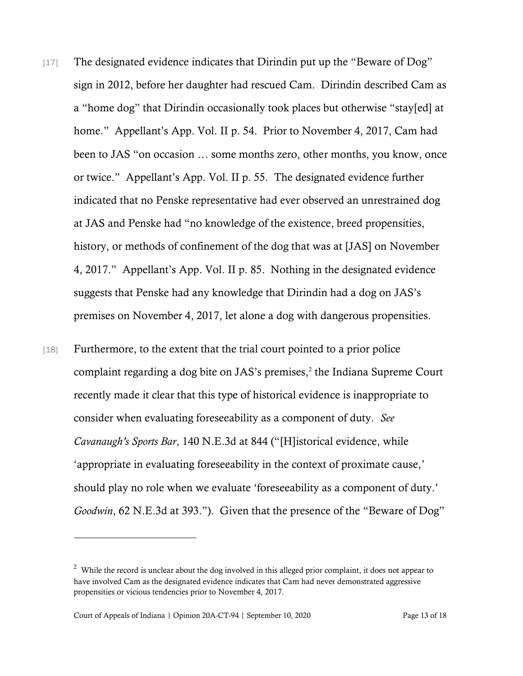- [17] The designated evidence indicates that Dirindin put up the "Beware of Dog" sign in 2012, before her daughter had rescued Cam. Dirindin described Cam as a "home dog" that Dirindin occasionally took places but otherwise "stay[ed] at home." Appellant's App. Vol. II p. 54. Prior to November 4, 2017, Cam had been to JAS "on occasion … some months zero, other months, you know, once or twice." Appellant's App. Vol. II p. 55. The designated evidence further indicated that no Penske representative had ever observed an unrestrained dog at JAS and Penske had "no knowledge of the existence, breed propensities, history, or methods of confinement of the dog that was at [JAS] on November 4, 2017." Appellant's App. Vol. II p. 85. Nothing in the designated evidence suggests that Penske had any knowledge that Dirindin had a dog on JAS's premises on November 4, 2017, let alone a dog with dangerous propensities.
- [18] Furthermore, to the extent that the trial court pointed to a prior police complaint regarding a dog bite on JAS's premises,<sup>2</sup> the Indiana Supreme Court recently made it clear that this type of historical evidence is inappropriate to consider when evaluating foreseeability as a component of duty. *See Cavanaugh's Sports Bar*, 140 N.E.3d at 844 ("[H]istorical evidence, while 'appropriate in evaluating foreseeability in the context of proximate cause,' should play no role when we evaluate 'foreseeability as a component of duty.' *Goodwin*, 62 N.E.3d at 393."). Given that the presence of the "Beware of Dog"

 $2$  While the record is unclear about the dog involved in this alleged prior complaint, it does not appear to have involved Cam as the designated evidence indicates that Cam had never demonstrated aggressive propensities or vicious tendencies prior to November 4, 2017.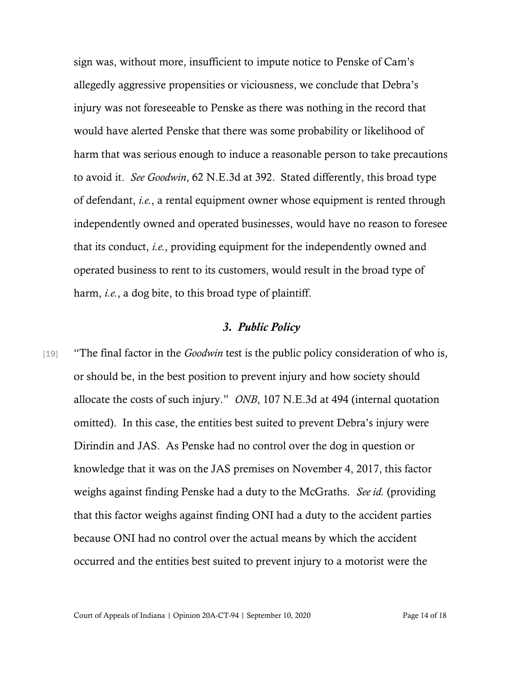sign was, without more, insufficient to impute notice to Penske of Cam's allegedly aggressive propensities or viciousness, we conclude that Debra's injury was not foreseeable to Penske as there was nothing in the record that would have alerted Penske that there was some probability or likelihood of harm that was serious enough to induce a reasonable person to take precautions to avoid it. *See Goodwin*, 62 N.E.3d at 392. Stated differently, this broad type of defendant, *i.e.*, a rental equipment owner whose equipment is rented through independently owned and operated businesses, would have no reason to foresee that its conduct, *i.e.*, providing equipment for the independently owned and operated business to rent to its customers, would result in the broad type of harm, *i.e.*, a dog bite, to this broad type of plaintiff.

#### *3. Public Policy*

[19] "The final factor in the *Goodwin* test is the public policy consideration of who is, or should be, in the best position to prevent injury and how society should allocate the costs of such injury." *ONB*, 107 N.E.3d at 494 (internal quotation omitted). In this case, the entities best suited to prevent Debra's injury were Dirindin and JAS. As Penske had no control over the dog in question or knowledge that it was on the JAS premises on November 4, 2017, this factor weighs against finding Penske had a duty to the McGraths. *See id.* (providing that this factor weighs against finding ONI had a duty to the accident parties because ONI had no control over the actual means by which the accident occurred and the entities best suited to prevent injury to a motorist were the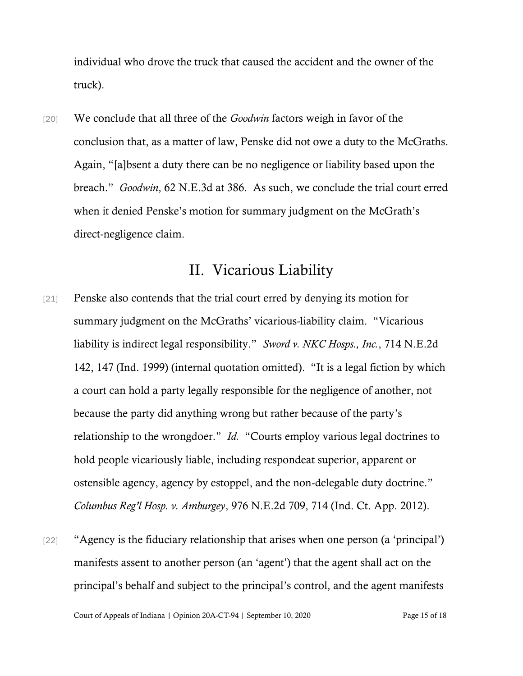individual who drove the truck that caused the accident and the owner of the truck).

[20] We conclude that all three of the *Goodwin* factors weigh in favor of the conclusion that, as a matter of law, Penske did not owe a duty to the McGraths. Again, "[a]bsent a duty there can be no negligence or liability based upon the breach." *Goodwin*, 62 N.E.3d at 386. As such, we conclude the trial court erred when it denied Penske's motion for summary judgment on the McGrath's direct-negligence claim.

## II. Vicarious Liability

- [21] Penske also contends that the trial court erred by denying its motion for summary judgment on the McGraths' vicarious-liability claim. "Vicarious liability is indirect legal responsibility." *Sword v. NKC Hosps., Inc.*, 714 N.E.2d 142, 147 (Ind. 1999) (internal quotation omitted). "It is a legal fiction by which a court can hold a party legally responsible for the negligence of another, not because the party did anything wrong but rather because of the party's relationship to the wrongdoer." *Id.* "Courts employ various legal doctrines to hold people vicariously liable, including respondeat superior, apparent or ostensible agency, agency by estoppel, and the non-delegable duty doctrine." *Columbus Reg'l Hosp. v. Amburgey*, 976 N.E.2d 709, 714 (Ind. Ct. App. 2012).
- [22] "Agency is the fiduciary relationship that arises when one person (a 'principal') manifests assent to another person (an 'agent') that the agent shall act on the principal's behalf and subject to the principal's control, and the agent manifests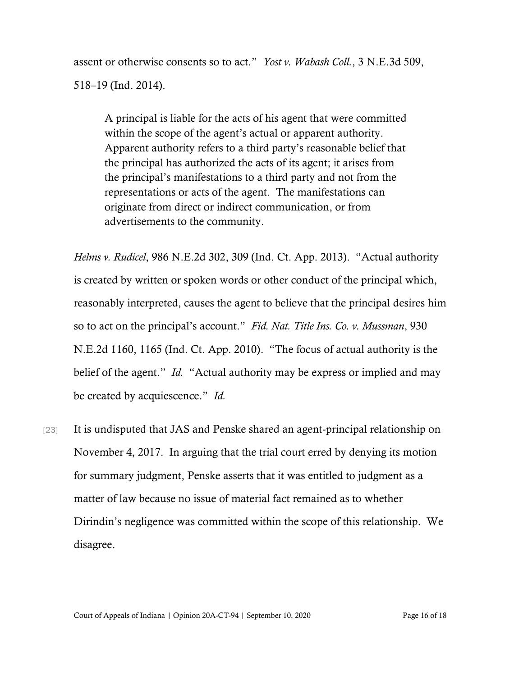assent or otherwise consents so to act." *Yost v. Wabash Coll.*, 3 N.E.3d 509, 518–19 (Ind. 2014).

A principal is liable for the acts of his agent that were committed within the scope of the agent's actual or apparent authority. Apparent authority refers to a third party's reasonable belief that the principal has authorized the acts of its agent; it arises from the principal's manifestations to a third party and not from the representations or acts of the agent. The manifestations can originate from direct or indirect communication, or from advertisements to the community.

*Helms v. Rudicel*, 986 N.E.2d 302, 309 (Ind. Ct. App. 2013). "Actual authority is created by written or spoken words or other conduct of the principal which, reasonably interpreted, causes the agent to believe that the principal desires him so to act on the principal's account." *Fid. Nat. Title Ins. Co. v. Mussman*, 930 N.E.2d 1160, 1165 (Ind. Ct. App. 2010). "The focus of actual authority is the belief of the agent." *Id.* "Actual authority may be express or implied and may be created by acquiescence." *Id.*

[23] It is undisputed that JAS and Penske shared an agent-principal relationship on November 4, 2017. In arguing that the trial court erred by denying its motion for summary judgment, Penske asserts that it was entitled to judgment as a matter of law because no issue of material fact remained as to whether Dirindin's negligence was committed within the scope of this relationship. We disagree.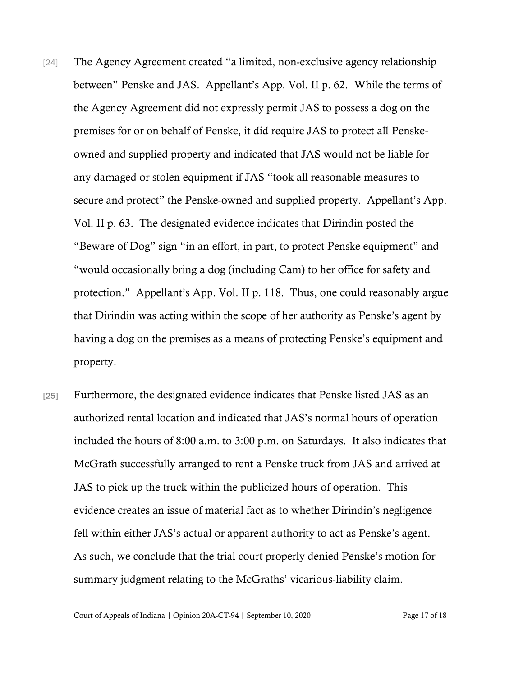- [24] The Agency Agreement created "a limited, non-exclusive agency relationship between" Penske and JAS. Appellant's App. Vol. II p. 62. While the terms of the Agency Agreement did not expressly permit JAS to possess a dog on the premises for or on behalf of Penske, it did require JAS to protect all Penskeowned and supplied property and indicated that JAS would not be liable for any damaged or stolen equipment if JAS "took all reasonable measures to secure and protect" the Penske-owned and supplied property. Appellant's App. Vol. II p. 63. The designated evidence indicates that Dirindin posted the "Beware of Dog" sign "in an effort, in part, to protect Penske equipment" and "would occasionally bring a dog (including Cam) to her office for safety and protection." Appellant's App. Vol. II p. 118. Thus, one could reasonably argue that Dirindin was acting within the scope of her authority as Penske's agent by having a dog on the premises as a means of protecting Penske's equipment and property.
- [25] Furthermore, the designated evidence indicates that Penske listed JAS as an authorized rental location and indicated that JAS's normal hours of operation included the hours of 8:00 a.m. to 3:00 p.m. on Saturdays. It also indicates that McGrath successfully arranged to rent a Penske truck from JAS and arrived at JAS to pick up the truck within the publicized hours of operation. This evidence creates an issue of material fact as to whether Dirindin's negligence fell within either JAS's actual or apparent authority to act as Penske's agent. As such, we conclude that the trial court properly denied Penske's motion for summary judgment relating to the McGraths' vicarious-liability claim.